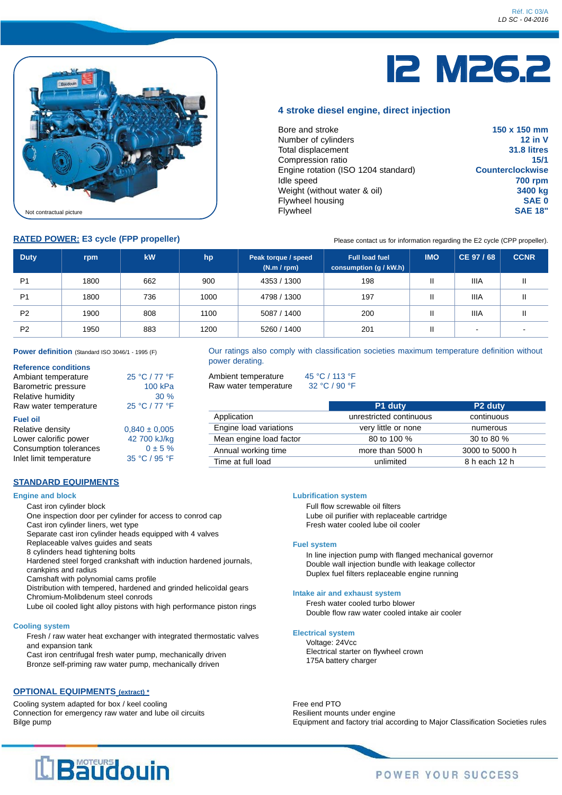

# 12 M26.2

### **4 stroke diesel engine, direct injection**

| Bore and stroke                     | 150 x 150 mm            |
|-------------------------------------|-------------------------|
| Number of cylinders                 | $12$ in V               |
| Total displacement                  | 31.8 litres             |
| Compression ratio                   | 15/1                    |
| Engine rotation (ISO 1204 standard) | <b>Counterclockwise</b> |
| Idle speed                          | <b>700 rpm</b>          |
| Weight (without water & oil)        | 3400 kg                 |
| Flywheel housing                    | <b>SAE 0</b>            |
| Flywheel                            | <b>SAE 18"</b>          |

**RATED POWER: E3 cycle (FPP propeller)** Please contact us for information regarding the E2 cycle (CPP propeller).

| <b>Duty</b>    | rpm  | kW  | hp   | Peak torque / speed<br>(N.m / rpm) | <b>Full load fuel</b><br>consumption (g / kW.h) | <b>IMO</b>   | CE 97 / 68  | <b>CCNR</b>              |
|----------------|------|-----|------|------------------------------------|-------------------------------------------------|--------------|-------------|--------------------------|
| P <sub>1</sub> | 1800 | 662 | 900  | 4353 / 1300                        | 198                                             | $\mathsf{I}$ | <b>IIIA</b> |                          |
| P <sub>1</sub> | 1800 | 736 | 1000 | 4798 / 1300                        | 197                                             | $\mathsf{I}$ | <b>IIIA</b> |                          |
| P <sub>2</sub> | 1900 | 808 | 1100 | 5087 / 1400                        | 200                                             | $\mathsf{I}$ | <b>IIIA</b> |                          |
| P <sub>2</sub> | 1950 | 883 | 1200 | 5260 / 1400                        | 201                                             | Ш            |             | $\overline{\phantom{a}}$ |

**Power definition** (Standard ISO 3046/1 - 1995 (F)

#### **Reference conditions**

| Ambiant temperature   | 25 °C / 77 °F     |
|-----------------------|-------------------|
| Barometric pressure   | 100 kPa           |
| Relative humidity     | 30%               |
| Raw water temperature | 25 °C / 77 °F     |
| <b>Fuel oil</b>       |                   |
| Relative density      | $0.840 \pm 0.005$ |
| Lower calorific power | $42,700$ k $1/k0$ |

#### ower calorific power  $42\,700$  kJ/kg Consumption tolerances  $0 \pm 5 \%$ <br>Inlet limit temperature  $35 °C / 95 °F$ Inlet limit temperature

### **STANDARD EQUIPMENTS**

#### **Engine and block**

Cast iron cylinder block

- One inspection door per cylinder for access to conrod cap
- Cast iron cylinder liners, wet type
- Separate cast iron cylinder heads equipped with 4 valves
- Replaceable valves guides and seats 8 cylinders head tightening bolts
- Hardened steel forged crankshaft with induction hardened journals,
- crankpins and radius
- Camshaft with polynomial cams profile
- Distribution with tempered, hardened and grinded helicoïdal gears Chromium-Molibdenum steel conrods
- Lube oil cooled light alloy pistons with high performance piston rings

#### **Cooling system**

Fresh / raw water heat exchanger with integrated thermostatic valves and expansion tank

Cast iron centrifugal fresh water pump, mechanically driven Bronze self-priming raw water pump, mechanically driven

### **OPTIONAL EQUIPMENTS (extract) \***

Cooling system adapted for box / keel cooling Connection for emergency raw water and lube oil circuits Bilge pump

#### Our ratings also comply with classification societies maximum temperature definition without power derating.

Ambient temperature 45 °C / 113 °F Raw water temperature 32 °C / 90 °F

|                         | P1 duty                 | P <sub>2</sub> duty |
|-------------------------|-------------------------|---------------------|
| Application             | unrestricted continuous | continuous          |
| Engine load variations  | very little or none     | numerous            |
| Mean engine load factor | 80 to 100 %             | 30 to 80 %          |
| Annual working time     | more than 5000 h        | 3000 to 5000 h      |
| Time at full load       | unlimited               | 8 h each 12 h       |

#### **Lubrification system**

Full flow screwable oil filters Lube oil purifier with replaceable cartridge Fresh water cooled lube oil cooler

#### **Fuel system**

In line injection pump with flanged mechanical governor Double wall injection bundle with leakage collector Duplex fuel filters replaceable engine running

#### **Intake air and exhaust system**

Fresh water cooled turbo blower Double flow raw water cooled intake air cooler

#### **Electrical system**

Voltage: 24Vcc Electrical starter on flywheel crown 175A battery charger

Free end PTO Resilient mounts under engine Equipment and factory trial according to Major Classification Societies rules

## L'Baudouin

## **POWER YOUR SUCCESS**